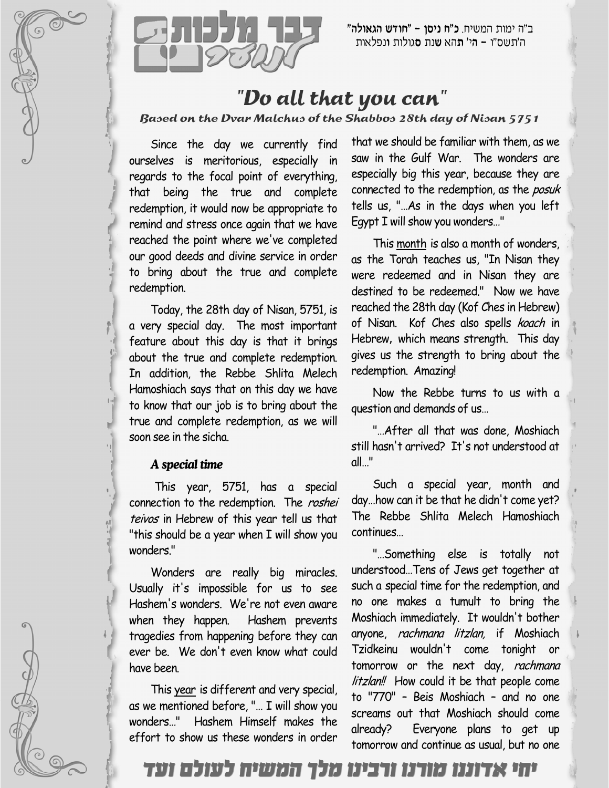



ב״ה ימות המשיח. **כ״ח ניסן – ״חודש הגאולה״** ה'תשס"ו **– ה**י' **ת**הא **ש**נת סגולות ונפלאות

## "Do all that you can"

Based on the Dvar Malchus of the Shabbos 28th day of Nisan 5751

Since the day we currently find ourselves is meritorious, especially in regards to the focal point of everything, that being the true and complete redemption, it would now be appropriate to remind and stress once again that we have reached the point where we've completed our good deeds and divine service in order to bring about the true and complete redemption.

Today, the 28th day of Nisan, 5751, is a very special day. The most important feature about this day is that it brings about the true and complete redemption. In addition, the Rebbe Shlita Melech Hamoshiach says that on this day we have to know that our job is to bring about the true and complete redemption, as we will soon see in the sicha.

## *A special time*

This year, 5751, has a special connection to the redemption. The roshei teivos in Hebrew of this year tell us that "this should be a year when I will show you wonders."

Wonders are really big miracles. Usually it's impossible for us to see Hashem's wonders. We're not even aware when they happen. Hashem prevents tragedies from happening before they can ever be. We don't even know what could have been.

This year is different and very special, as we mentioned before, "… I will show you wonders…" Hashem Himself makes the effort to show us these wonders in order that we should be familiar with them, as we saw in the Gulf War. The wonders are especially big this year, because they are connected to the redemption, as the posuk tells us, "…As in the days when you left Egypt I will show you wonders…"

This month is also a month of wonders, as the Torah teaches us, "In Nisan they were redeemed and in Nisan they are destined to be redeemed." Now we have reached the 28th day (Kof Ches in Hebrew) of Nisan. Kof Ches also spells koach in Hebrew, which means strength. This day gives us the strength to bring about the redemption. Amazing!

Now the Rebbe turns to us with a question and demands of us…

"…After all that was done, Moshiach still hasn't arrived? It's not understood at all…"

Such a special year, month and day…how can it be that he didn't come yet? The Rebbe Shlita Melech Hamoshiach continues…

"…Something else is totally not understood…Tens of Jews get together at such a special time for the redemption, and no one makes a tumult to bring the Moshiach immediately. It wouldn't bother anyone, rachmana litzlan, if Moshiach Tzidkeinu wouldn't come tonight or tomorrow or the next day, rachmana litzlan!! How could it be that people come to "770" – Beis Moshiach – and no one screams out that Moshiach should come already? Everyone plans to get up tomorrow and continue as usual, but no one

יחי אדוננו מורנו ורבינו מלך המשיח לעולם ועד